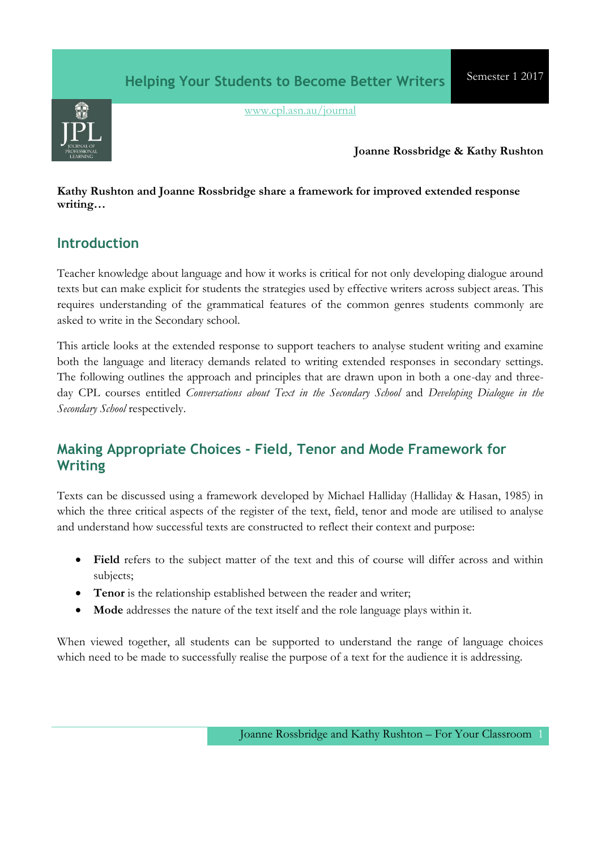

[www.cpl.asn.au/journal](http://www.cpl.asn.au/journal)

#### **Joanne Rossbridge & Kathy Rushton**

#### **Kathy Rushton and Joanne Rossbridge share a framework for improved extended response writing…**

## **Introduction**

Teacher knowledge about language and how it works is critical for not only developing dialogue around texts but can make explicit for students the strategies used by effective writers across subject areas. This requires understanding of the grammatical features of the common genres students commonly are asked to write in the Secondary school.

This article looks at the extended response to support teachers to analyse student writing and examine both the language and literacy demands related to writing extended responses in secondary settings. The following outlines the approach and principles that are drawn upon in both a one-day and threeday CPL courses entitled *Conversations about Text in the Secondary School* and *Developing Dialogue in the Secondary School* respectively.

# **Making Appropriate Choices - Field, Tenor and Mode Framework for Writing**

Texts can be discussed using a framework developed by Michael Halliday (Halliday & Hasan, 1985) in which the three critical aspects of the register of the text, field, tenor and mode are utilised to analyse and understand how successful texts are constructed to reflect their context and purpose:

- **Field** refers to the subject matter of the text and this of course will differ across and within subjects;
- **Tenor** is the relationship established between the reader and writer;
- **Mode** addresses the nature of the text itself and the role language plays within it.

When viewed together, all students can be supported to understand the range of language choices which need to be made to successfully realise the purpose of a text for the audience it is addressing.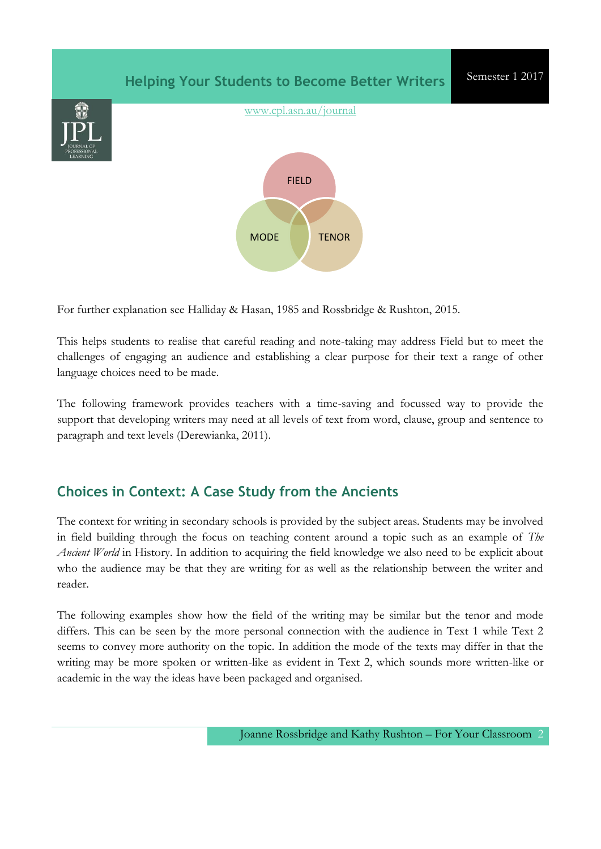

For further explanation see Halliday & Hasan, 1985 and Rossbridge & Rushton, 2015.

This helps students to realise that careful reading and note-taking may address Field but to meet the challenges of engaging an audience and establishing a clear purpose for their text a range of other language choices need to be made.

The following framework provides teachers with a time-saving and focussed way to provide the support that developing writers may need at all levels of text from word, clause, group and sentence to paragraph and text levels (Derewianka, 2011).

## **Choices in Context: A Case Study from the Ancients**

The context for writing in secondary schools is provided by the subject areas. Students may be involved in field building through the focus on teaching content around a topic such as an example of *The Ancient World* in History. In addition to acquiring the field knowledge we also need to be explicit about who the audience may be that they are writing for as well as the relationship between the writer and reader.

The following examples show how the field of the writing may be similar but the tenor and mode differs. This can be seen by the more personal connection with the audience in Text 1 while Text 2 seems to convey more authority on the topic. In addition the mode of the texts may differ in that the writing may be more spoken or written-like as evident in Text 2, which sounds more written-like or academic in the way the ideas have been packaged and organised.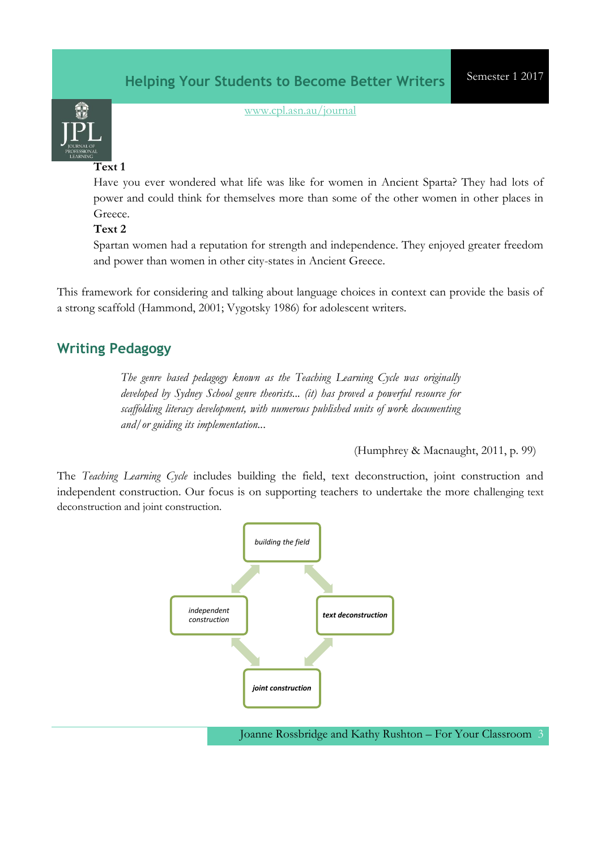

[www.cpl.asn.au/journal](http://www.cpl.asn.au/journal)

#### **Text 1**

Have you ever wondered what life was like for women in Ancient Sparta? They had lots of power and could think for themselves more than some of the other women in other places in Greece.

### **Text 2**

Spartan women had a reputation for strength and independence. They enjoyed greater freedom and power than women in other city-states in Ancient Greece.

This framework for considering and talking about language choices in context can provide the basis of a strong scaffold (Hammond, 2001; Vygotsky 1986) for adolescent writers.

## **Writing Pedagogy**

*The genre based pedagogy known as the Teaching Learning Cycle was originally developed by Sydney School genre theorists... (it) has proved a powerful resource for scaffolding literacy development, with numerous published units of work documenting and/or guiding its implementation..*.

(Humphrey & Macnaught, 2011, p. 99)

The *Teaching Learning Cycle* includes building the field, text deconstruction, joint construction and independent construction. Our focus is on supporting teachers to undertake the more challenging text deconstruction and joint construction.



Joanne Rossbridge and Kathy Rushton – For Your Classroom 3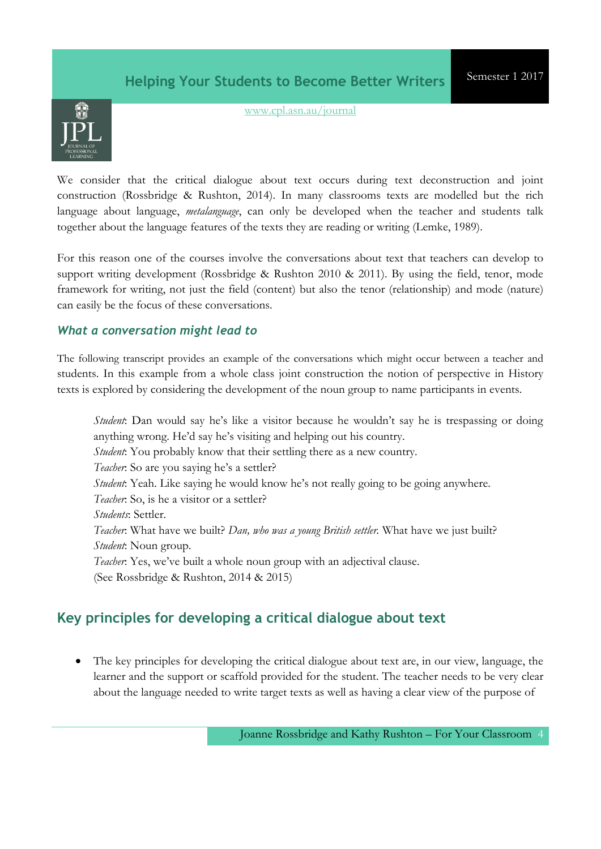

[www.cpl.asn.au/journal](http://www.cpl.asn.au/journal)

We consider that the critical dialogue about text occurs during text deconstruction and joint construction (Rossbridge & Rushton, 2014). In many classrooms texts are modelled but the rich language about language, *metalanguage*, can only be developed when the teacher and students talk together about the language features of the texts they are reading or writing (Lemke, 1989).

For this reason one of the courses involve the conversations about text that teachers can develop to support writing development (Rossbridge & Rushton 2010 & 2011). By using the field, tenor, mode framework for writing, not just the field (content) but also the tenor (relationship) and mode (nature) can easily be the focus of these conversations.

### *What a conversation might lead to*

The following transcript provides an example of the conversations which might occur between a teacher and students. In this example from a whole class joint construction the notion of perspective in History texts is explored by considering the development of the noun group to name participants in events.

*Student*: Dan would say he's like a visitor because he wouldn't say he is trespassing or doing anything wrong. He'd say he's visiting and helping out his country. *Student*: You probably know that their settling there as a new country. *Teacher*: So are you saying he's a settler? *Student*: Yeah. Like saying he would know he's not really going to be going anywhere. *Teacher*: So, is he a visitor or a settler? *Students*: Settler. *Teacher*: What have we built? *Dan, who was a young British settler.* What have we just built? *Student*: Noun group. *Teacher*: Yes, we've built a whole noun group with an adjectival clause. (See Rossbridge & Rushton, 2014 & 2015)

# **Key principles for developing a critical dialogue about text**

 The key principles for developing the critical dialogue about text are, in our view, language, the learner and the support or scaffold provided for the student. The teacher needs to be very clear about the language needed to write target texts as well as having a clear view of the purpose of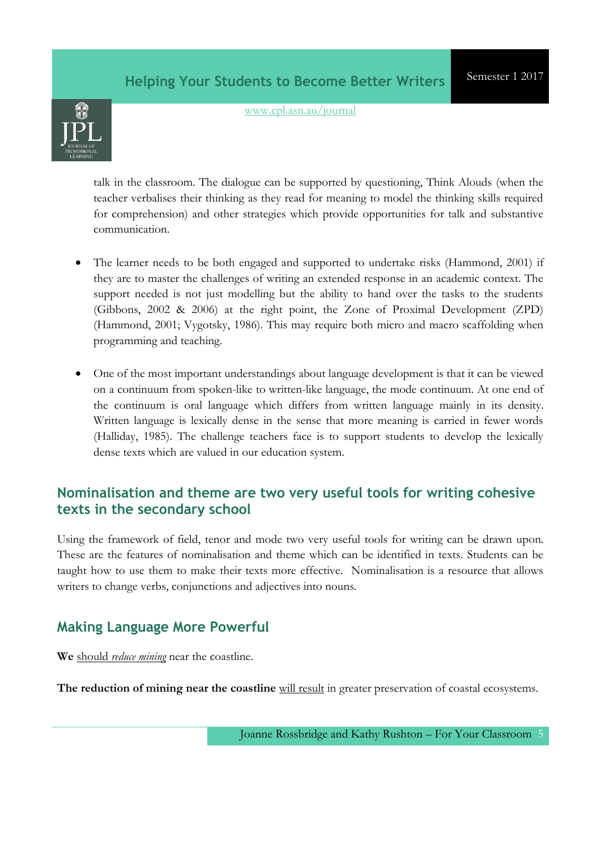

[www.cpl.asn.au/journal](http://www.cpl.asn.au/journal)

talk in the classroom. The dialogue can be supported by questioning, Think Alouds (when the teacher verbalises their thinking as they read for meaning to model the thinking skills required for comprehension) and other strategies which provide opportunities for talk and substantive communication.

- The learner needs to be both engaged and supported to undertake risks (Hammond, 2001) if they are to master the challenges of writing an extended response in an academic context. The support needed is not just modelling but the ability to hand over the tasks to the students (Gibbons, 2002 & 2006) at the right point, the Zone of Proximal Development (ZPD) (Hammond, 2001; Vygotsky, 1986). This may require both micro and macro scaffolding when programming and teaching.
- One of the most important understandings about language development is that it can be viewed on a continuum from spoken-like to written-like language, the mode continuum. At one end of the continuum is oral language which differs from written language mainly in its density. Written language is lexically dense in the sense that more meaning is carried in fewer words (Halliday, 1985). The challenge teachers face is to support students to develop the lexically dense texts which are valued in our education system.

## **Nominalisation and theme are two very useful tools for writing cohesive texts in the secondary school**

Using the framework of field, tenor and mode two very useful tools for writing can be drawn upon. These are the features of nominalisation and theme which can be identified in texts. Students can be taught how to use them to make their texts more effective. Nominalisation is a resource that allows writers to change verbs, conjunctions and adjectives into nouns.

## **Making Language More Powerful**

**We** should *reduce mining* near the coastline.

The reduction of mining near the coastline will result in greater preservation of coastal ecosystems.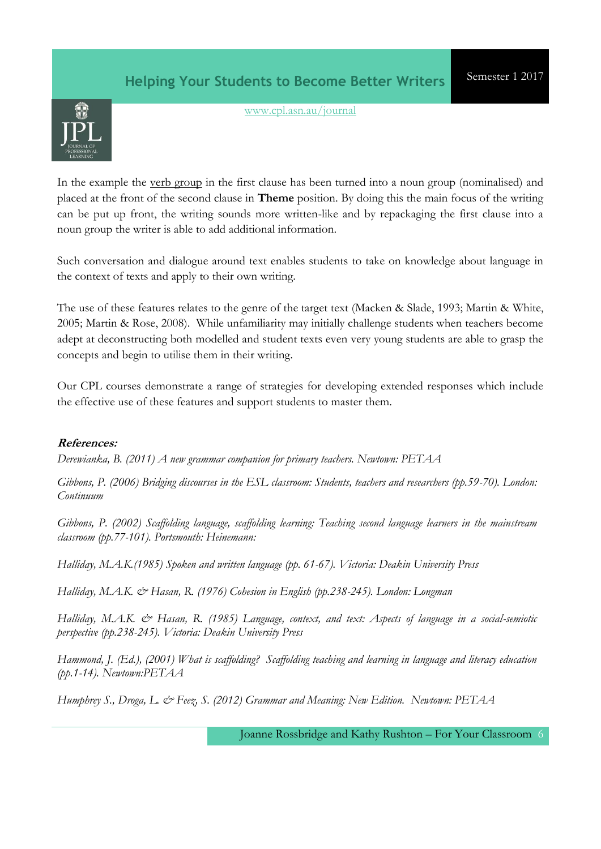

[www.cpl.asn.au/journal](http://www.cpl.asn.au/journal)

In the example the verb group in the first clause has been turned into a noun group (nominalised) and placed at the front of the second clause in **Theme** position. By doing this the main focus of the writing can be put up front, the writing sounds more written-like and by repackaging the first clause into a noun group the writer is able to add additional information.

Such conversation and dialogue around text enables students to take on knowledge about language in the context of texts and apply to their own writing.

The use of these features relates to the genre of the target text (Macken & Slade, 1993; Martin & White, 2005; Martin & Rose, 2008). While unfamiliarity may initially challenge students when teachers become adept at deconstructing both modelled and student texts even very young students are able to grasp the concepts and begin to utilise them in their writing.

Our CPL courses demonstrate a range of strategies for developing extended responses which include the effective use of these features and support students to master them.

### **References:**

*Derewianka, B. (2011) A new grammar companion for primary teachers. Newtown: PETAA*

*Gibbons, P. (2006) Bridging discourses in the ESL classroom: Students, teachers and researchers (pp.59-70). London: Continuum*

*Gibbons, P. (2002) Scaffolding language, scaffolding learning: Teaching second language learners in the mainstream classroom (pp.77-101). Portsmouth: Heinemann:*

*Halliday, M.A.K.(1985) Spoken and written language (pp. 61-67). Victoria: Deakin University Press*

*Halliday, M.A.K. & Hasan, R. (1976) Cohesion in English (pp.238-245). London: Longman*

*Halliday, M.A.K. & Hasan, R. (1985) Language, context, and text: Aspects of language in a social-semiotic perspective (pp.238-245). Victoria: Deakin University Press*

*Hammond, J. (Ed.), (2001) What is scaffolding? Scaffolding teaching and learning in language and literacy education (pp.1-14). Newtown:PETAA*

*Humphrey S., Droga, L. & Feez, S. (2012) Grammar and Meaning: New Edition. Newtown: PETAA*

Joanne Rossbridge and Kathy Rushton – For Your Classroom 6